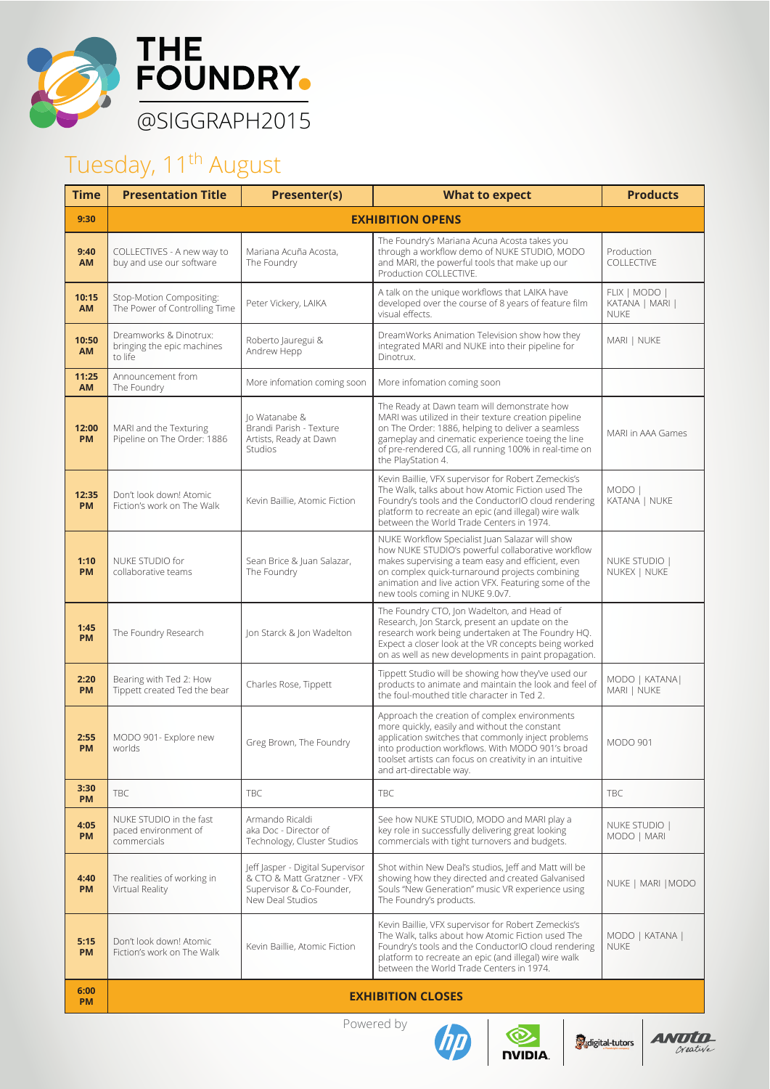

## Tuesday, 11<sup>th</sup> August

| <b>Time</b>        | <b>Presentation Title</b>                                       | <b>Presenter(s)</b>                                                                                             | <b>What to expect</b>                                                                                                                                                                                                                                                                                  | <b>Products</b>                                 |  |  |
|--------------------|-----------------------------------------------------------------|-----------------------------------------------------------------------------------------------------------------|--------------------------------------------------------------------------------------------------------------------------------------------------------------------------------------------------------------------------------------------------------------------------------------------------------|-------------------------------------------------|--|--|
| 9:30               | <b>EXHIBITION OPENS</b>                                         |                                                                                                                 |                                                                                                                                                                                                                                                                                                        |                                                 |  |  |
| 9:40<br><b>AM</b>  | COLLECTIVES - A new way to<br>buy and use our software          | Mariana Acuña Acosta,<br>The Foundry                                                                            | The Foundry's Mariana Acuna Acosta takes you<br>through a workflow demo of NUKE STUDIO, MODO<br>and MARI, the powerful tools that make up our<br>Production COLLECTIVE.                                                                                                                                | Production<br>COLLECTIVE                        |  |  |
| 10:15<br><b>AM</b> | Stop-Motion Compositing:<br>The Power of Controlling Time       | Peter Vickery, LAIKA                                                                                            | A talk on the unique workflows that LAIKA have<br>developed over the course of 8 years of feature film<br>visual effects.                                                                                                                                                                              | FLIX   MODO  <br>KATANA   MARI  <br><b>NUKE</b> |  |  |
| 10:50<br>AM        | Dreamworks & Dinotrux:<br>bringing the epic machines<br>to life | Roberto Jauregui &<br>Andrew Hepp                                                                               | DreamWorks Animation Television show how they<br>integrated MARI and NUKE into their pipeline for<br>Dinotrux.                                                                                                                                                                                         | MARI   NUKE                                     |  |  |
| 11:25<br><b>AM</b> | Announcement from<br>The Foundry                                | More infomation coming soon                                                                                     | More infomation coming soon                                                                                                                                                                                                                                                                            |                                                 |  |  |
| 12:00<br><b>PM</b> | MARI and the Texturing<br>Pipeline on The Order: 1886           | lo Watanabe &<br>-<br>Brandi Parish - Texture<br>Artists, Ready at Dawn<br><b>Studios</b>                       | The Ready at Dawn team will demonstrate how<br>MARI was utilized in their texture creation pipeline<br>on The Order: 1886, helping to deliver a seamless<br>gameplay and cinematic experience toeing the line<br>of pre-rendered CG, all running 100% in real-time on<br>the PlayStation 4.            | MARI in AAA Games                               |  |  |
| 12:35<br><b>PM</b> | Don't look down! Atomic<br>Fiction's work on The Walk           | Kevin Baillie, Atomic Fiction                                                                                   | Kevin Baillie, VFX supervisor for Robert Zemeckis's<br>The Walk, talks about how Atomic Fiction used The<br>Foundry's tools and the ConductorIO cloud rendering<br>platform to recreate an epic (and illegal) wire walk<br>between the World Trade Centers in 1974.                                    | MODO  <br>KATANA   NUKE                         |  |  |
| 1:10<br><b>PM</b>  | NUKE STUDIO for<br>collaborative teams                          | Sean Brice & Juan Salazar,<br>The Foundry                                                                       | NUKE Workflow Specialist Juan Salazar will show<br>how NUKE STUDIO's powerful collaborative workflow<br>makes supervising a team easy and efficient, even<br>on complex quick-turnaround projects combining<br>animation and live action VFX. Featuring some of the<br>new tools coming in NUKE 9.0v7. | NUKE STUDIO  <br>NUKEX   NUKE                   |  |  |
| 1:45<br><b>PM</b>  | The Foundry Research                                            | Jon Starck & Jon Wadelton                                                                                       | The Foundry CTO, Jon Wadelton, and Head of<br>Research, Jon Starck, present an update on the<br>research work being undertaken at The Foundry HQ.<br>Expect a closer look at the VR concepts being worked<br>on as well as new developments in paint propagation.                                      |                                                 |  |  |
| 2:20<br><b>PM</b>  | Bearing with Ted 2: How<br>Tippett created Ted the bear         | Charles Rose, Tippett                                                                                           | Tippett Studio will be showing how they've used our<br>products to animate and maintain the look and feel of<br>the foul-mouthed title character in Ted 2.                                                                                                                                             | MODO   KATANA  <br>MARI   NUKE                  |  |  |
| 2:55<br><b>PM</b>  | MODO 901- Explore new<br>worlds                                 | Greg Brown, The Foundry                                                                                         | Approach the creation of complex environments<br>more quickly, easily and without the constant<br>application switches that commonly inject problems<br>into production workflows. With MODO 901's broad<br>toolset artists can focus on creativity in an intuitive<br>and art-directable way.         | <b>MODO 901</b>                                 |  |  |
| 3:30<br><b>PM</b>  | <b>TBC</b>                                                      | <b>TBC</b>                                                                                                      | <b>TRC</b>                                                                                                                                                                                                                                                                                             | <b>TBC</b>                                      |  |  |
| 4:05<br><b>PM</b>  | NUKE STUDIO in the fast<br>paced environment of<br>commercials  | Armando Ricaldi<br>aka Doc - Director of<br>Technology, Cluster Studios                                         | See how NUKE STUDIO, MODO and MARI play a<br>key role in successfully delivering great looking<br>commercials with tight turnovers and budgets.                                                                                                                                                        | NUKE STUDIO  <br>MODO   MARI                    |  |  |
| 4:40<br><b>PM</b>  | The realities of working in<br>Virtual Reality                  | Jeff Jasper - Digital Supervisor<br>& CTO & Matt Gratzner - VFX<br>Supervisor & Co-Founder,<br>New Deal Studios | Shot within New Deal's studios, Jeff and Matt will be<br>showing how they directed and created Galvanised<br>Souls "New Generation" music VR experience using<br>The Foundry's products.                                                                                                               | NUKE   MARI   MODO                              |  |  |
| 5:15<br><b>PM</b>  | Don't look down! Atomic<br>Fiction's work on The Walk           | Kevin Baillie, Atomic Fiction                                                                                   | Kevin Baillie, VFX supervisor for Robert Zemeckis's<br>The Walk, talks about how Atomic Fiction used The<br>Foundry's tools and the ConductorIO cloud rendering<br>platform to recreate an epic (and illegal) wire walk<br>between the World Trade Centers in 1974.                                    | MODO   KATANA  <br><b>NUKE</b>                  |  |  |
| 6:00<br><b>PM</b>  | <b>EXHIBITION CLOSES</b>                                        |                                                                                                                 |                                                                                                                                                                                                                                                                                                        |                                                 |  |  |

Powered by





**O**digital-tutors

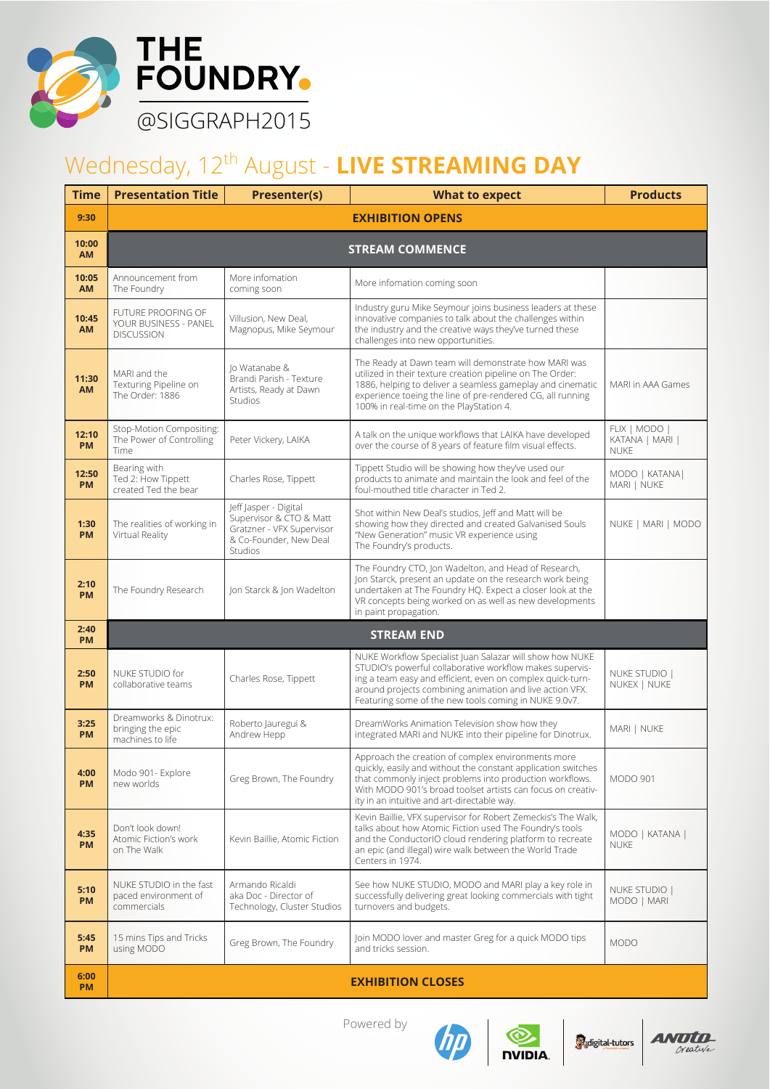

## Wednesday, 12<sup>th</sup> August - LIVE STREAMING DAY

| <b>Time</b>        | <b>Presentation Title</b>                                        | <b>Presenter(s)</b>                                                                                                       | <b>What to expect</b>                                                                                                                                                                                                                                                                                   | <b>Products</b>                                 |  |  |
|--------------------|------------------------------------------------------------------|---------------------------------------------------------------------------------------------------------------------------|---------------------------------------------------------------------------------------------------------------------------------------------------------------------------------------------------------------------------------------------------------------------------------------------------------|-------------------------------------------------|--|--|
| 9:30               | <b>EXHIBITION OPENS</b>                                          |                                                                                                                           |                                                                                                                                                                                                                                                                                                         |                                                 |  |  |
| 10:00<br><b>AM</b> | <b>STREAM COMMENCE</b>                                           |                                                                                                                           |                                                                                                                                                                                                                                                                                                         |                                                 |  |  |
| 10:05<br><b>AM</b> | Announcement from<br>The Foundry                                 | More infomation<br>coming soon                                                                                            | More infomation coming soon                                                                                                                                                                                                                                                                             |                                                 |  |  |
| 10:45<br><b>AM</b> | FUTURE PROOFING OF<br>YOUR BUSINESS - PANEL<br><b>DISCUSSION</b> | Villusion, New Deal,<br>Magnopus, Mike Seymour                                                                            | Industry guru Mike Seymour joins business leaders at these<br>innovative companies to talk about the challenges within<br>the industry and the creative ways they've turned these<br>challenges into new opportunities.                                                                                 |                                                 |  |  |
| 11:30<br><b>AM</b> | MARI and the<br>Texturing Pipeline on<br>The Order: 1886         | lo Watanabe &<br>Brandi Parish - Texture<br>Artists, Ready at Dawn<br><b>Studios</b>                                      | The Ready at Dawn team will demonstrate how MARI was<br>utilized in their texture creation pipeline on The Order:<br>1886, helping to deliver a seamless gameplay and cinematic<br>experience toeing the line of pre-rendered CG, all running<br>100% in real-time on the PlayStation 4.                | MARI in AAA Games                               |  |  |
| 12:10<br><b>PM</b> | Stop-Motion Compositing:<br>The Power of Controlling<br>Time     | Peter Vickery, LAIKA                                                                                                      | A talk on the unique workflows that LAIKA have developed<br>over the course of 8 years of feature film visual effects.                                                                                                                                                                                  | FLIX   MODO  <br>KATANA   MARI  <br><b>NUKE</b> |  |  |
| 12:50<br><b>PM</b> | Bearing with<br>Ted 2: How Tippett<br>created Ted the bear       | Charles Rose, Tippett                                                                                                     | Tippett Studio will be showing how they've used our<br>products to animate and maintain the look and feel of the<br>foul-mouthed title character in Ted 2.                                                                                                                                              | MODO   KATANA  <br>MARI   NUKE                  |  |  |
| 1:30<br><b>PM</b>  | The realities of working in<br>Virtual Reality                   | leff lasper - Digital<br>Supervisor & CTO & Matt<br>Gratzner - VFX Supervisor<br>& Co-Founder, New Deal<br><b>Studios</b> | Shot within New Deal's studios, Jeff and Matt will be<br>showing how they directed and created Galvanised Souls<br>"New Generation" music VR experience using<br>The Foundry's products.                                                                                                                | NUKE   MARI   MODO                              |  |  |
| 2:10<br><b>PM</b>  | The Foundry Research                                             | Jon Starck & Jon Wadelton                                                                                                 | The Foundry CTO, Jon Wadelton, and Head of Research,<br>Jon Starck, present an update on the research work being<br>undertaken at The Foundry HQ. Expect a closer look at the<br>VR concepts being worked on as well as new developments<br>in paint propagation.                                       |                                                 |  |  |
| 2:40<br><b>PM</b>  |                                                                  |                                                                                                                           | <b>STREAM END</b>                                                                                                                                                                                                                                                                                       |                                                 |  |  |
| 2:50<br><b>PM</b>  | NUKE STUDIO for<br>collaborative teams                           | Charles Rose, Tippett                                                                                                     | NUKE Workflow Specialist Juan Salazar will show how NUKE<br>STUDIO's powerful collaborative workflow makes supervis-<br>ing a team easy and efficient, even on complex quick-turn-<br>around projects combining animation and live action VFX.<br>Featuring some of the new tools coming in NUKE 9.0v7. | NUKE STUDIO  <br>NUKEX   NUKE                   |  |  |
| 3:25<br><b>PM</b>  | Dreamworks & Dinotrux:<br>bringing the epic<br>machines to life  | Roberto Jauregui &<br>Andrew Hepp                                                                                         | DreamWorks Animation Television show how they<br>integrated MARI and NUKE into their pipeline for Dinotrux.                                                                                                                                                                                             | MARI   NUKE                                     |  |  |
| 4:00<br><b>PM</b>  | Modo 901- Explore<br>new worlds                                  | Greg Brown, The Foundry                                                                                                   | Approach the creation of complex environments more<br>quickly, easily and without the constant application switches<br>that commonly inject problems into production workflows.<br>With MODO 901's broad toolset artists can focus on creativ-<br>ity in an intuitive and art-directable way.           | <b>MODO 901</b>                                 |  |  |
| 4:35<br><b>PM</b>  | Don't look down!<br>Atomic Fiction's work<br>on The Walk         | Kevin Baillie, Atomic Fiction                                                                                             | Kevin Baillie, VFX supervisor for Robert Zemeckis's The Walk,<br>talks about how Atomic Fiction used The Foundry's tools<br>and the ConductorIO cloud rendering platform to recreate<br>an epic (and illegal) wire walk between the World Trade<br>Centers in 1974.                                     | MODO   KATANA  <br><b>NUKE</b>                  |  |  |
| 5:10<br><b>PM</b>  | NUKE STUDIO in the fast<br>paced environment of<br>commercials   | Armando Ricaldi<br>aka Doc - Director of<br>Technology, Cluster Studios                                                   | See how NUKE STUDIO, MODO and MARI play a key role in<br>successfully delivering great looking commercials with tight<br>turnovers and budgets.                                                                                                                                                         | NUKE STUDIO  <br>MODO   MARI                    |  |  |
| 5:45<br><b>PM</b>  | 15 mins Tips and Tricks<br>using MODO                            | Greg Brown, The Foundry                                                                                                   | Join MODO lover and master Greg for a quick MODO tips<br>and tricks session.                                                                                                                                                                                                                            | <b>MODO</b>                                     |  |  |
| 6:00<br><b>PM</b>  |                                                                  |                                                                                                                           | <b>EXHIBITION CLOSES</b>                                                                                                                                                                                                                                                                                |                                                 |  |  |

Powered by